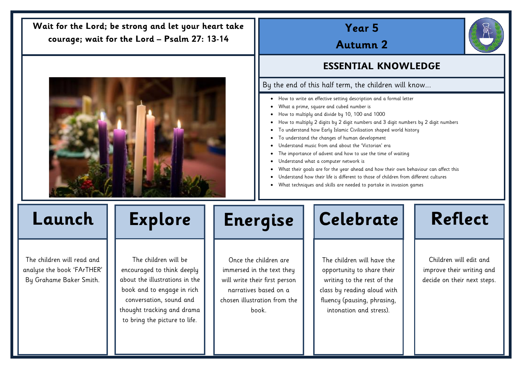# **Year 5**

**Autumn 2**

## **ESSENTIAL KNOWLEDGE**

### By the end of this half term, the children will know...

- How to write an effective setting description and a formal letter
- What a prime, square and cubed number is
- How to multiply and divide by 10, 100 and 1000
- How to multiply 2 digits by 2 digit numbers and 3 digit numbers by 2 digit numbers
- To understand how Early Islamic Civilisation shaped world history
- To understand the changes of human development
- Understand music from and about the 'Victorian' era
- The importance of advent and how to use the time of waiting
- Understand what a computer network is
- What their goals are for the year ahead and how their own behaviour can affect this
- Understand how their life is different to those of children from different cultures
- What techniques and skills are needed to partake in invasion games

The children will read and analyse the book 'FArTHER' By Grahame Baker Smith.

The children will be encouraged to think deeply about the illustrations in the book and to engage in rich conversation, sound and thought tracking and drama to bring the picture to life.

Once the children are immersed in the text they will write their first person narratives based on a chosen illustration from the book.



The children will have the opportunity to share their writing to the rest of the class by reading aloud with fluency (pausing, phrasing, intonation and stress).



### **Wait for the Lord; be strong and let your heart take courage; wait for the Lord – Psalm 27: 13-14**